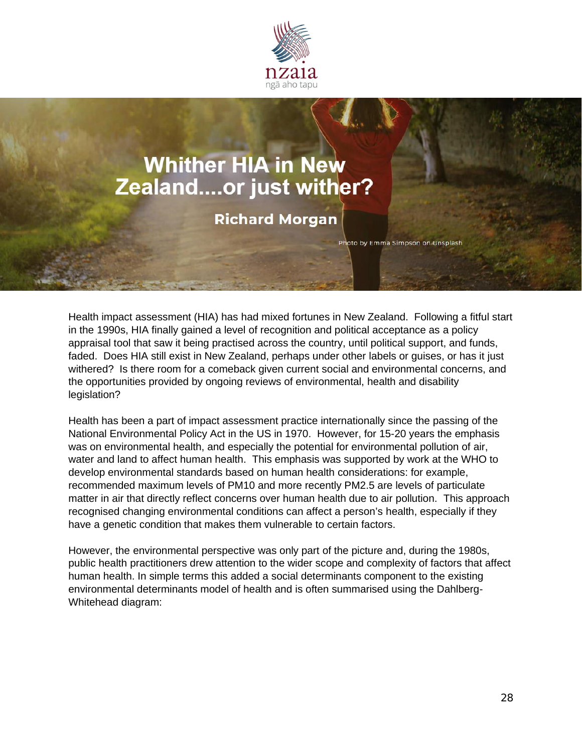

## **Whither HIA in New** Zealand....or just wither?

**Richard Morgan** 

Photo by Emma Simpson on Unsplash

Health impact assessment (HIA) has had mixed fortunes in New Zealand. Following a fitful start in the 1990s, HIA finally gained a level of recognition and political acceptance as a policy appraisal tool that saw it being practised across the country, until political support, and funds, faded. Does HIA still exist in New Zealand, perhaps under other labels or guises, or has it just withered? Is there room for a comeback given current social and environmental concerns, and the opportunities provided by ongoing reviews of environmental, health and disability legislation?

Health has been a part of impact assessment practice internationally since the passing of the National Environmental Policy Act in the US in 1970. However, for 15-20 years the emphasis was on environmental health, and especially the potential for environmental pollution of air, water and land to affect human health. This emphasis was supported by work at the WHO to develop environmental standards based on human health considerations: for example, recommended maximum levels of PM10 and more recently PM2.5 are levels of particulate matter in air that directly reflect concerns over human health due to air pollution. This approach recognised changing environmental conditions can affect a person's health, especially if they have a genetic condition that makes them vulnerable to certain factors.

However, the environmental perspective was only part of the picture and, during the 1980s, public health practitioners drew attention to the wider scope and complexity of factors that affect human health. In simple terms this added a social determinants component to the existing environmental determinants model of health and is often summarised using the Dahlberg-Whitehead diagram: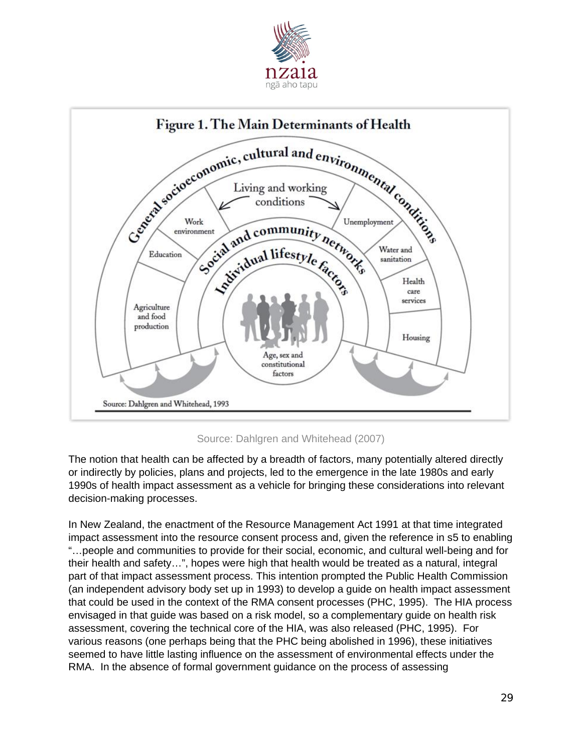



## Source: Dahlgren and Whitehead (2007)

The notion that health can be affected by a breadth of factors, many potentially altered directly or indirectly by policies, plans and projects, led to the emergence in the late 1980s and early 1990s of health impact assessment as a vehicle for bringing these considerations into relevant decision-making processes.

In New Zealand, the enactment of the Resource Management Act 1991 at that time integrated impact assessment into the resource consent process and, given the reference in s5 to enabling "…people and communities to provide for their social, economic, and cultural well-being and for their health and safety…", hopes were high that health would be treated as a natural, integral part of that impact assessment process. This intention prompted the Public Health Commission (an independent advisory body set up in 1993) to develop a guide on health impact assessment that could be used in the context of the RMA consent processes (PHC, 1995). The HIA process envisaged in that guide was based on a risk model, so a complementary guide on health risk assessment, covering the technical core of the HIA, was also released (PHC, 1995). For various reasons (one perhaps being that the PHC being abolished in 1996), these initiatives seemed to have little lasting influence on the assessment of environmental effects under the RMA. In the absence of formal government guidance on the process of assessing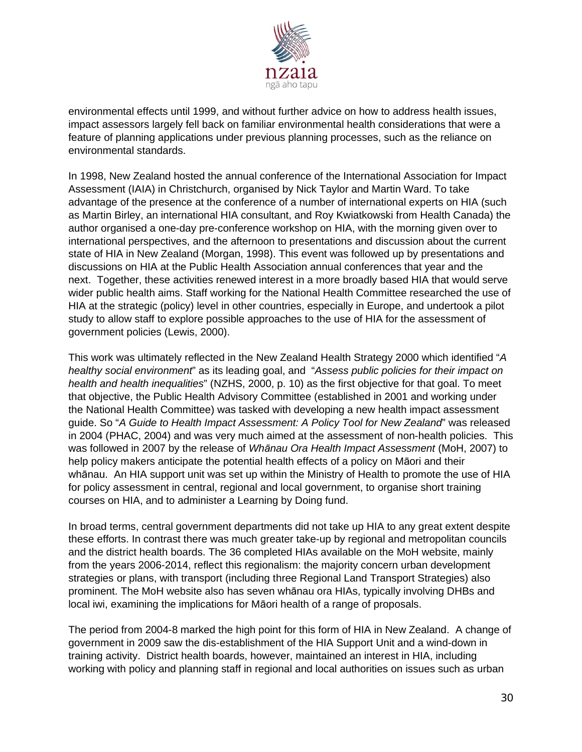

environmental effects until 1999, and without further advice on how to address health issues, impact assessors largely fell back on familiar environmental health considerations that were a feature of planning applications under previous planning processes, such as the reliance on environmental standards.

In 1998, New Zealand hosted the annual conference of the International Association for Impact Assessment (IAIA) in Christchurch, organised by Nick Taylor and Martin Ward. To take advantage of the presence at the conference of a number of international experts on HIA (such as Martin Birley, an international HIA consultant, and Roy Kwiatkowski from Health Canada) the author organised a one-day pre-conference workshop on HIA, with the morning given over to international perspectives, and the afternoon to presentations and discussion about the current state of HIA in New Zealand (Morgan, 1998). This event was followed up by presentations and discussions on HIA at the Public Health Association annual conferences that year and the next. Together, these activities renewed interest in a more broadly based HIA that would serve wider public health aims. Staff working for the National Health Committee researched the use of HIA at the strategic (policy) level in other countries, especially in Europe, and undertook a pilot study to allow staff to explore possible approaches to the use of HIA for the assessment of government policies (Lewis, 2000).

This work was ultimately reflected in the New Zealand Health Strategy 2000 which identified "*A healthy social environment*" as its leading goal, and "*Assess public policies for their impact on health and health inequalities*" (NZHS, 2000, p. 10) as the first objective for that goal. To meet that objective, the Public Health Advisory Committee (established in 2001 and working under the National Health Committee) was tasked with developing a new health impact assessment guide. So "*A Guide to Health Impact Assessment: A Policy Tool for New Zealand*" was released in 2004 (PHAC, 2004) and was very much aimed at the assessment of non-health policies. This was followed in 2007 by the release of *Whānau Ora Health Impact Assessment* (MoH, 2007) to help policy makers anticipate the potential health effects of a policy on Māori and their whānau. An HIA support unit was set up within the Ministry of Health to promote the use of HIA for policy assessment in central, regional and local government, to organise short training courses on HIA, and to administer a Learning by Doing fund.

In broad terms, central government departments did not take up HIA to any great extent despite these efforts. In contrast there was much greater take-up by regional and metropolitan councils and the district health boards. The 36 completed HIAs available on the MoH website, mainly from the years 2006-2014, reflect this regionalism: the majority concern urban development strategies or plans, with transport (including three Regional Land Transport Strategies) also prominent. The MoH website also has seven whānau ora HIAs, typically involving DHBs and local iwi, examining the implications for Māori health of a range of proposals.

The period from 2004-8 marked the high point for this form of HIA in New Zealand. A change of government in 2009 saw the dis-establishment of the HIA Support Unit and a wind-down in training activity. District health boards, however, maintained an interest in HIA, including working with policy and planning staff in regional and local authorities on issues such as urban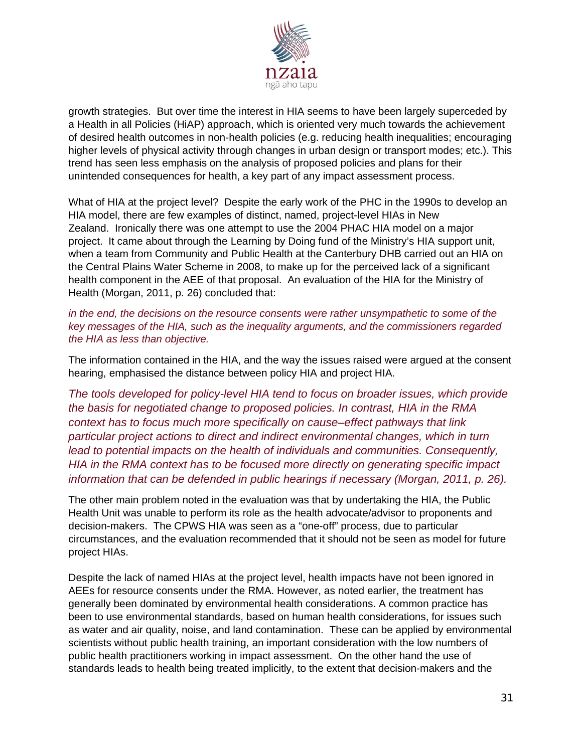

growth strategies. But over time the interest in HIA seems to have been largely superceded by a Health in all Policies (HiAP) approach, which is oriented very much towards the achievement of desired health outcomes in non-health policies (e.g. reducing health inequalities; encouraging higher levels of physical activity through changes in urban design or transport modes; etc.). This trend has seen less emphasis on the analysis of proposed policies and plans for their unintended consequences for health, a key part of any impact assessment process.

What of HIA at the project level? Despite the early work of the PHC in the 1990s to develop an HIA model, there are few examples of distinct, named, project-level HIAs in New Zealand. Ironically there was one attempt to use the 2004 PHAC HIA model on a major project. It came about through the Learning by Doing fund of the Ministry's HIA support unit, when a team from Community and Public Health at the Canterbury DHB carried out an HIA on the Central Plains Water Scheme in 2008, to make up for the perceived lack of a significant health component in the AEE of that proposal. An evaluation of the HIA for the Ministry of Health (Morgan, 2011, p. 26) concluded that:

*in the end, the decisions on the resource consents were rather unsympathetic to some of the key messages of the HIA, such as the inequality arguments, and the commissioners regarded the HIA as less than objective.*

The information contained in the HIA, and the way the issues raised were argued at the consent hearing, emphasised the distance between policy HIA and project HIA.

*The tools developed for policy-level HIA tend to focus on broader issues, which provide the basis for negotiated change to proposed policies. In contrast, HIA in the RMA context has to focus much more specifically on cause–effect pathways that link particular project actions to direct and indirect environmental changes, which in turn lead to potential impacts on the health of individuals and communities. Consequently, HIA in the RMA context has to be focused more directly on generating specific impact information that can be defended in public hearings if necessary (Morgan, 2011, p. 26).*

The other main problem noted in the evaluation was that by undertaking the HIA, the Public Health Unit was unable to perform its role as the health advocate/advisor to proponents and decision-makers. The CPWS HIA was seen as a "one-off" process, due to particular circumstances, and the evaluation recommended that it should not be seen as model for future project HIAs.

Despite the lack of named HIAs at the project level, health impacts have not been ignored in AEEs for resource consents under the RMA. However, as noted earlier, the treatment has generally been dominated by environmental health considerations. A common practice has been to use environmental standards, based on human health considerations, for issues such as water and air quality, noise, and land contamination. These can be applied by environmental scientists without public health training, an important consideration with the low numbers of public health practitioners working in impact assessment. On the other hand the use of standards leads to health being treated implicitly, to the extent that decision-makers and the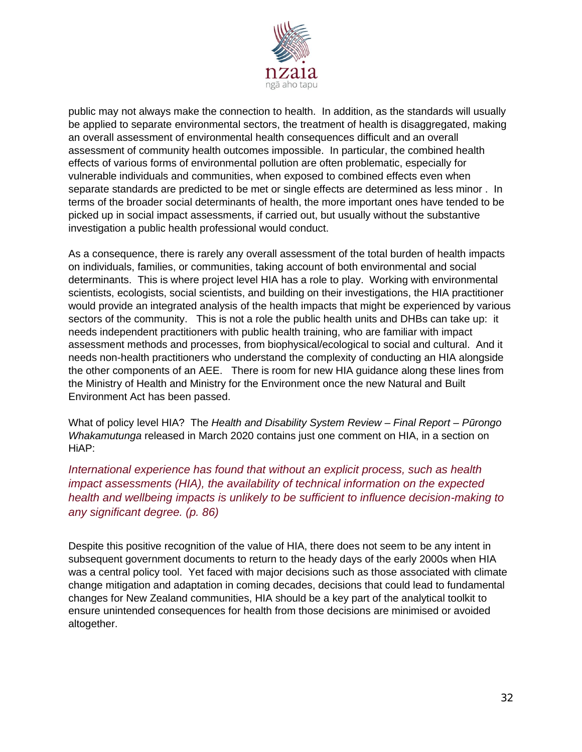

public may not always make the connection to health. In addition, as the standards will usually be applied to separate environmental sectors, the treatment of health is disaggregated, making an overall assessment of environmental health consequences difficult and an overall assessment of community health outcomes impossible. In particular, the combined health effects of various forms of environmental pollution are often problematic, especially for vulnerable individuals and communities, when exposed to combined effects even when separate standards are predicted to be met or single effects are determined as less minor . In terms of the broader social determinants of health, the more important ones have tended to be picked up in social impact assessments, if carried out, but usually without the substantive investigation a public health professional would conduct.

As a consequence, there is rarely any overall assessment of the total burden of health impacts on individuals, families, or communities, taking account of both environmental and social determinants. This is where project level HIA has a role to play. Working with environmental scientists, ecologists, social scientists, and building on their investigations, the HIA practitioner would provide an integrated analysis of the health impacts that might be experienced by various sectors of the community. This is not a role the public health units and DHBs can take up: it needs independent practitioners with public health training, who are familiar with impact assessment methods and processes, from biophysical/ecological to social and cultural. And it needs non-health practitioners who understand the complexity of conducting an HIA alongside the other components of an AEE. There is room for new HIA guidance along these lines from the Ministry of Health and Ministry for the Environment once the new Natural and Built Environment Act has been passed.

What of policy level HIA? The *Health and Disability System Review – Final Report – Pūrongo Whakamutunga* released in March 2020 contains just one comment on HIA, in a section on HiAP:

## *International experience has found that without an explicit process, such as health impact assessments (HIA), the availability of technical information on the expected health and wellbeing impacts is unlikely to be sufficient to influence decision-making to any significant degree. (p. 86)*

Despite this positive recognition of the value of HIA, there does not seem to be any intent in subsequent government documents to return to the heady days of the early 2000s when HIA was a central policy tool. Yet faced with major decisions such as those associated with climate change mitigation and adaptation in coming decades, decisions that could lead to fundamental changes for New Zealand communities, HIA should be a key part of the analytical toolkit to ensure unintended consequences for health from those decisions are minimised or avoided altogether.